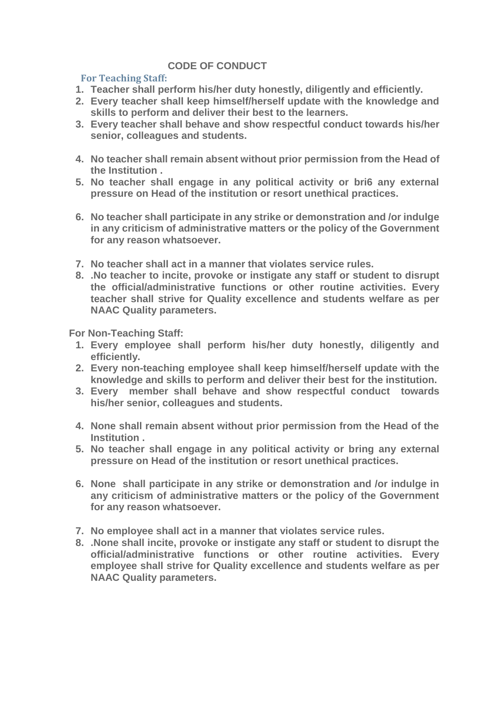## **CODE OF CONDUCT**

## **For Teaching Staff:**

- **1. Teacher shall perform his/her duty honestly, diligently and efficiently.**
- **2. Every teacher shall keep himself/herself update with the knowledge and skills to perform and deliver their best to the learners.**
- **3. Every teacher shall behave and show respectful conduct towards his/her senior, colleagues and students.**
- **4. No teacher shall remain absent without prior permission from the Head of the Institution .**
- **5. No teacher shall engage in any political activity or bri6 any external pressure on Head of the institution or resort unethical practices.**
- **6. No teacher shall participate in any strike or demonstration and /or indulge in any criticism of administrative matters or the policy of the Government for any reason whatsoever.**
- **7. No teacher shall act in a manner that violates service rules.**
- **8. .No teacher to incite, provoke or instigate any staff or student to disrupt the official/administrative functions or other routine activities. Every teacher shall strive for Quality excellence and students welfare as per NAAC Quality parameters.**

**For Non-Teaching Staff:**

- **1. Every employee shall perform his/her duty honestly, diligently and efficiently.**
- **2. Every non-teaching employee shall keep himself/herself update with the knowledge and skills to perform and deliver their best for the institution.**
- **3. Every member shall behave and show respectful conduct towards his/her senior, colleagues and students.**
- **4. None shall remain absent without prior permission from the Head of the Institution .**
- **5. No teacher shall engage in any political activity or bring any external pressure on Head of the institution or resort unethical practices.**
- **6. None shall participate in any strike or demonstration and /or indulge in any criticism of administrative matters or the policy of the Government for any reason whatsoever.**
- **7. No employee shall act in a manner that violates service rules.**
- **8. .None shall incite, provoke or instigate any staff or student to disrupt the official/administrative functions or other routine activities. Every employee shall strive for Quality excellence and students welfare as per NAAC Quality parameters.**